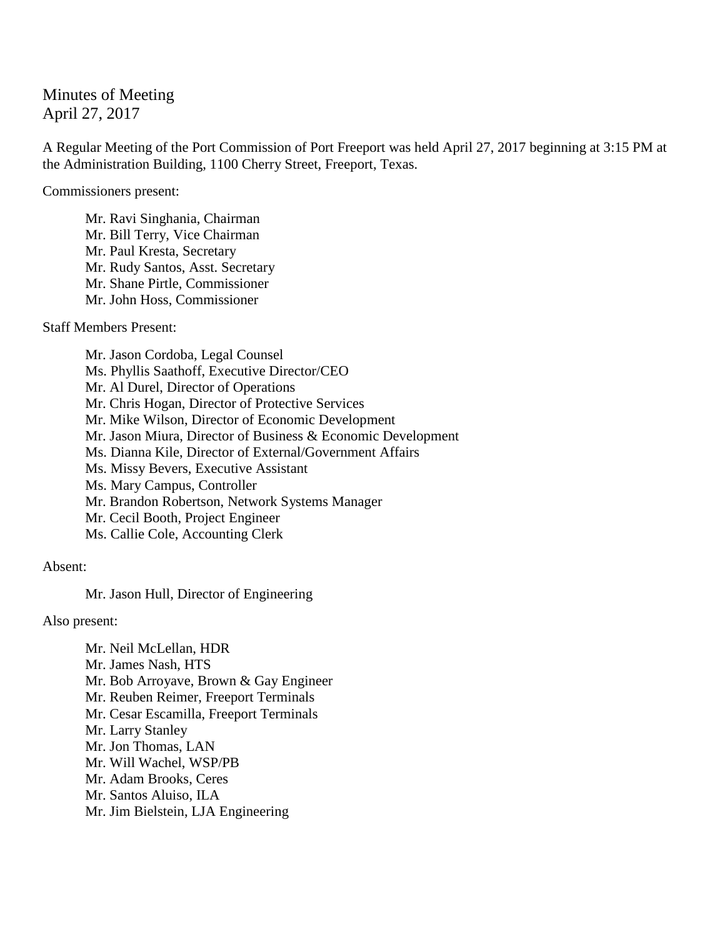## Minutes of Meeting April 27, 2017

A Regular Meeting of the Port Commission of Port Freeport was held April 27, 2017 beginning at 3:15 PM at the Administration Building, 1100 Cherry Street, Freeport, Texas.

Commissioners present:

Mr. Ravi Singhania, Chairman Mr. Bill Terry, Vice Chairman Mr. Paul Kresta, Secretary Mr. Rudy Santos, Asst. Secretary Mr. Shane Pirtle, Commissioner Mr. John Hoss, Commissioner

Staff Members Present:

Mr. Jason Cordoba, Legal Counsel Ms. Phyllis Saathoff, Executive Director/CEO Mr. Al Durel, Director of Operations Mr. Chris Hogan, Director of Protective Services Mr. Mike Wilson, Director of Economic Development Mr. Jason Miura, Director of Business & Economic Development Ms. Dianna Kile, Director of External/Government Affairs Ms. Missy Bevers, Executive Assistant Ms. Mary Campus, Controller Mr. Brandon Robertson, Network Systems Manager Mr. Cecil Booth, Project Engineer Ms. Callie Cole, Accounting Clerk

Absent:

Mr. Jason Hull, Director of Engineering

Also present:

Mr. Neil McLellan, HDR Mr. James Nash, HTS Mr. Bob Arroyave, Brown & Gay Engineer Mr. Reuben Reimer, Freeport Terminals Mr. Cesar Escamilla, Freeport Terminals Mr. Larry Stanley Mr. Jon Thomas, LAN Mr. Will Wachel, WSP/PB Mr. Adam Brooks, Ceres Mr. Santos Aluiso, ILA Mr. Jim Bielstein, LJA Engineering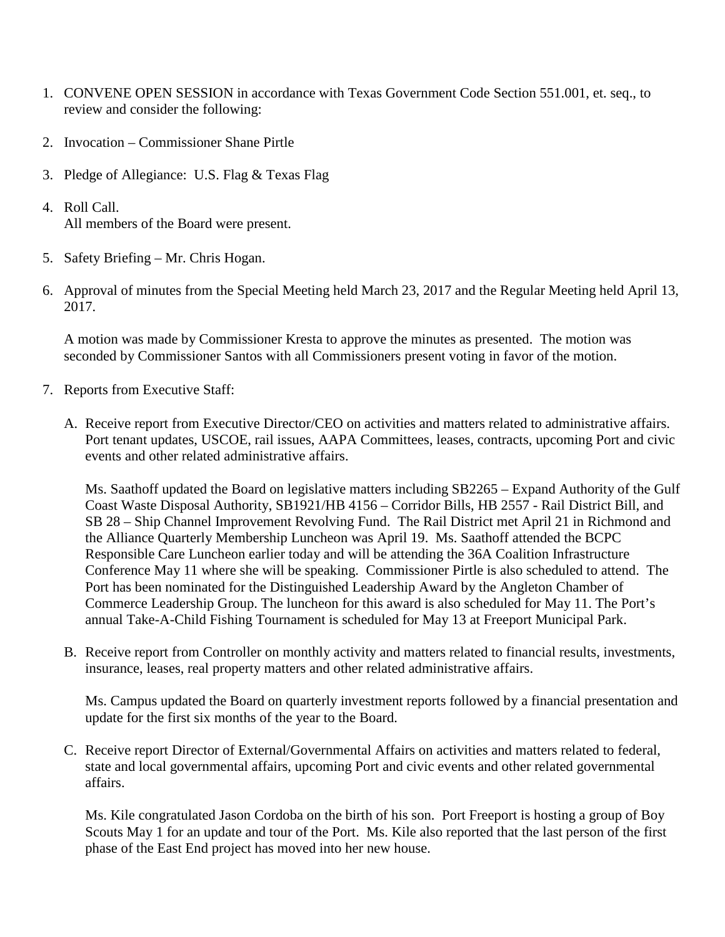- 1. CONVENE OPEN SESSION in accordance with Texas Government Code Section 551.001, et. seq., to review and consider the following:
- 2. Invocation Commissioner Shane Pirtle
- 3. Pledge of Allegiance: U.S. Flag & Texas Flag
- 4. Roll Call. All members of the Board were present.
- 5. Safety Briefing Mr. Chris Hogan.
- 6. Approval of minutes from the Special Meeting held March 23, 2017 and the Regular Meeting held April 13, 2017.

A motion was made by Commissioner Kresta to approve the minutes as presented. The motion was seconded by Commissioner Santos with all Commissioners present voting in favor of the motion.

- 7. Reports from Executive Staff:
	- A. Receive report from Executive Director/CEO on activities and matters related to administrative affairs. Port tenant updates, USCOE, rail issues, AAPA Committees, leases, contracts, upcoming Port and civic events and other related administrative affairs.

Ms. Saathoff updated the Board on legislative matters including SB2265 – Expand Authority of the Gulf Coast Waste Disposal Authority, SB1921/HB 4156 – Corridor Bills, HB 2557 - Rail District Bill, and SB 28 – Ship Channel Improvement Revolving Fund. The Rail District met April 21 in Richmond and the Alliance Quarterly Membership Luncheon was April 19. Ms. Saathoff attended the BCPC Responsible Care Luncheon earlier today and will be attending the 36A Coalition Infrastructure Conference May 11 where she will be speaking. Commissioner Pirtle is also scheduled to attend. The Port has been nominated for the Distinguished Leadership Award by the Angleton Chamber of Commerce Leadership Group. The luncheon for this award is also scheduled for May 11. The Port's annual Take-A-Child Fishing Tournament is scheduled for May 13 at Freeport Municipal Park.

B. Receive report from Controller on monthly activity and matters related to financial results, investments, insurance, leases, real property matters and other related administrative affairs.

Ms. Campus updated the Board on quarterly investment reports followed by a financial presentation and update for the first six months of the year to the Board.

C. Receive report Director of External/Governmental Affairs on activities and matters related to federal, state and local governmental affairs, upcoming Port and civic events and other related governmental affairs.

Ms. Kile congratulated Jason Cordoba on the birth of his son. Port Freeport is hosting a group of Boy Scouts May 1 for an update and tour of the Port. Ms. Kile also reported that the last person of the first phase of the East End project has moved into her new house.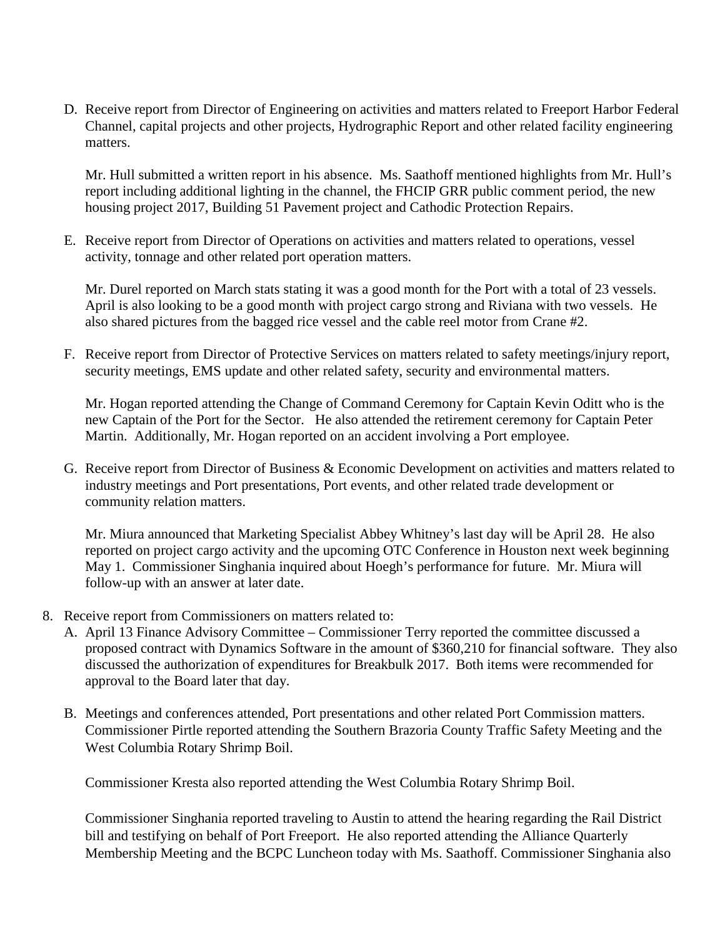D. Receive report from Director of Engineering on activities and matters related to Freeport Harbor Federal Channel, capital projects and other projects, Hydrographic Report and other related facility engineering matters.

Mr. Hull submitted a written report in his absence. Ms. Saathoff mentioned highlights from Mr. Hull's report including additional lighting in the channel, the FHCIP GRR public comment period, the new housing project 2017, Building 51 Pavement project and Cathodic Protection Repairs.

E. Receive report from Director of Operations on activities and matters related to operations, vessel activity, tonnage and other related port operation matters.

Mr. Durel reported on March stats stating it was a good month for the Port with a total of 23 vessels. April is also looking to be a good month with project cargo strong and Riviana with two vessels. He also shared pictures from the bagged rice vessel and the cable reel motor from Crane #2.

F. Receive report from Director of Protective Services on matters related to safety meetings/injury report, security meetings, EMS update and other related safety, security and environmental matters.

Mr. Hogan reported attending the Change of Command Ceremony for Captain Kevin Oditt who is the new Captain of the Port for the Sector. He also attended the retirement ceremony for Captain Peter Martin. Additionally, Mr. Hogan reported on an accident involving a Port employee.

G. Receive report from Director of Business & Economic Development on activities and matters related to industry meetings and Port presentations, Port events, and other related trade development or community relation matters.

Mr. Miura announced that Marketing Specialist Abbey Whitney's last day will be April 28. He also reported on project cargo activity and the upcoming OTC Conference in Houston next week beginning May 1. Commissioner Singhania inquired about Hoegh's performance for future. Mr. Miura will follow-up with an answer at later date.

- 8. Receive report from Commissioners on matters related to:
	- A. April 13 Finance Advisory Committee Commissioner Terry reported the committee discussed a proposed contract with Dynamics Software in the amount of \$360,210 for financial software. They also discussed the authorization of expenditures for Breakbulk 2017. Both items were recommended for approval to the Board later that day.
	- B. Meetings and conferences attended, Port presentations and other related Port Commission matters. Commissioner Pirtle reported attending the Southern Brazoria County Traffic Safety Meeting and the West Columbia Rotary Shrimp Boil.

Commissioner Kresta also reported attending the West Columbia Rotary Shrimp Boil.

Commissioner Singhania reported traveling to Austin to attend the hearing regarding the Rail District bill and testifying on behalf of Port Freeport. He also reported attending the Alliance Quarterly Membership Meeting and the BCPC Luncheon today with Ms. Saathoff. Commissioner Singhania also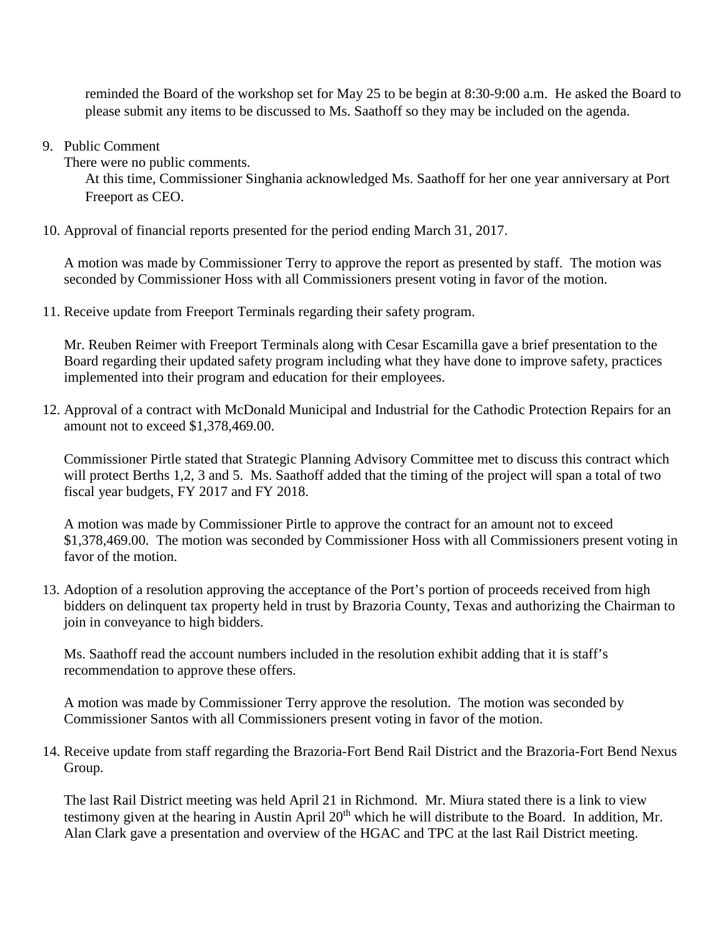reminded the Board of the workshop set for May 25 to be begin at 8:30-9:00 a.m. He asked the Board to please submit any items to be discussed to Ms. Saathoff so they may be included on the agenda.

9. Public Comment

There were no public comments.

At this time, Commissioner Singhania acknowledged Ms. Saathoff for her one year anniversary at Port Freeport as CEO.

10. Approval of financial reports presented for the period ending March 31, 2017.

A motion was made by Commissioner Terry to approve the report as presented by staff. The motion was seconded by Commissioner Hoss with all Commissioners present voting in favor of the motion.

11. Receive update from Freeport Terminals regarding their safety program.

Mr. Reuben Reimer with Freeport Terminals along with Cesar Escamilla gave a brief presentation to the Board regarding their updated safety program including what they have done to improve safety, practices implemented into their program and education for their employees.

12. Approval of a contract with McDonald Municipal and Industrial for the Cathodic Protection Repairs for an amount not to exceed \$1,378,469.00.

Commissioner Pirtle stated that Strategic Planning Advisory Committee met to discuss this contract which will protect Berths 1,2, 3 and 5. Ms. Saathoff added that the timing of the project will span a total of two fiscal year budgets, FY 2017 and FY 2018.

A motion was made by Commissioner Pirtle to approve the contract for an amount not to exceed \$1,378,469.00. The motion was seconded by Commissioner Hoss with all Commissioners present voting in favor of the motion.

13. Adoption of a resolution approving the acceptance of the Port's portion of proceeds received from high bidders on delinquent tax property held in trust by Brazoria County, Texas and authorizing the Chairman to join in conveyance to high bidders.

Ms. Saathoff read the account numbers included in the resolution exhibit adding that it is staff's recommendation to approve these offers.

A motion was made by Commissioner Terry approve the resolution. The motion was seconded by Commissioner Santos with all Commissioners present voting in favor of the motion.

14. Receive update from staff regarding the Brazoria-Fort Bend Rail District and the Brazoria-Fort Bend Nexus Group.

The last Rail District meeting was held April 21 in Richmond. Mr. Miura stated there is a link to view testimony given at the hearing in Austin April  $20<sup>th</sup>$  which he will distribute to the Board. In addition, Mr. Alan Clark gave a presentation and overview of the HGAC and TPC at the last Rail District meeting.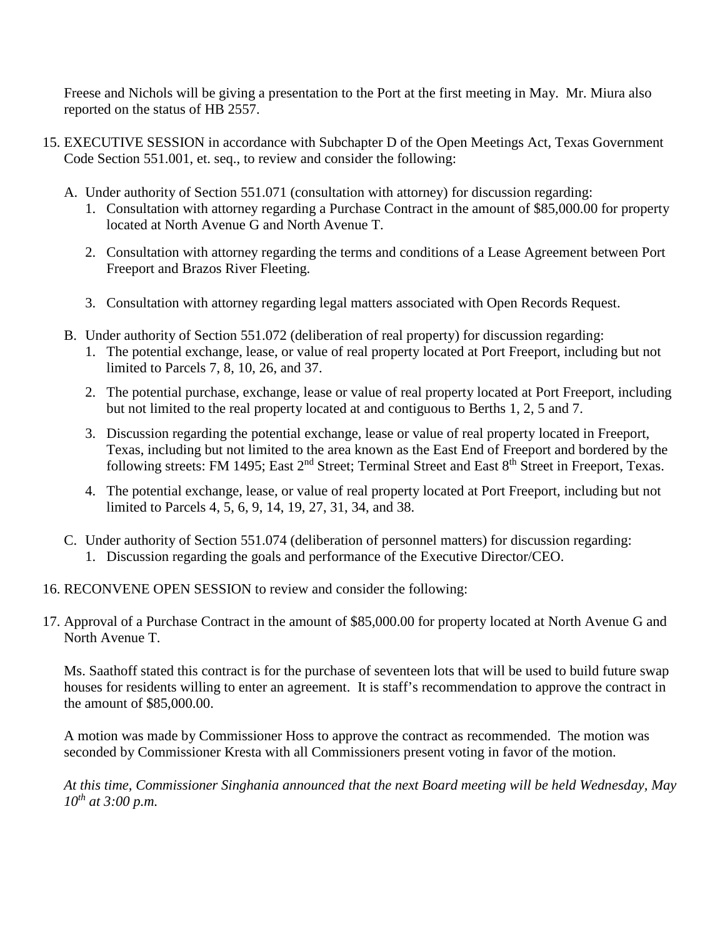Freese and Nichols will be giving a presentation to the Port at the first meeting in May. Mr. Miura also reported on the status of HB 2557.

- 15. EXECUTIVE SESSION in accordance with Subchapter D of the Open Meetings Act, Texas Government Code Section 551.001, et. seq., to review and consider the following:
	- A. Under authority of Section 551.071 (consultation with attorney) for discussion regarding:
		- 1. Consultation with attorney regarding a Purchase Contract in the amount of \$85,000.00 for property located at North Avenue G and North Avenue T.
		- 2. Consultation with attorney regarding the terms and conditions of a Lease Agreement between Port Freeport and Brazos River Fleeting.
		- 3. Consultation with attorney regarding legal matters associated with Open Records Request.
	- B. Under authority of Section 551.072 (deliberation of real property) for discussion regarding:
		- 1. The potential exchange, lease, or value of real property located at Port Freeport, including but not limited to Parcels 7, 8, 10, 26, and 37.
		- 2. The potential purchase, exchange, lease or value of real property located at Port Freeport, including but not limited to the real property located at and contiguous to Berths 1, 2, 5 and 7.
		- 3. Discussion regarding the potential exchange, lease or value of real property located in Freeport, Texas, including but not limited to the area known as the East End of Freeport and bordered by the following streets: FM 1495; East 2<sup>nd</sup> Street; Terminal Street and East 8<sup>th</sup> Street in Freeport, Texas.
		- 4. The potential exchange, lease, or value of real property located at Port Freeport, including but not limited to Parcels 4, 5, 6, 9, 14, 19, 27, 31, 34, and 38.
	- C. Under authority of Section 551.074 (deliberation of personnel matters) for discussion regarding:
		- 1. Discussion regarding the goals and performance of the Executive Director/CEO.

16. RECONVENE OPEN SESSION to review and consider the following:

17. Approval of a Purchase Contract in the amount of \$85,000.00 for property located at North Avenue G and North Avenue T.

Ms. Saathoff stated this contract is for the purchase of seventeen lots that will be used to build future swap houses for residents willing to enter an agreement. It is staff's recommendation to approve the contract in the amount of \$85,000.00.

A motion was made by Commissioner Hoss to approve the contract as recommended. The motion was seconded by Commissioner Kresta with all Commissioners present voting in favor of the motion.

*At this time, Commissioner Singhania announced that the next Board meeting will be held Wednesday, May 10th at 3:00 p.m.*